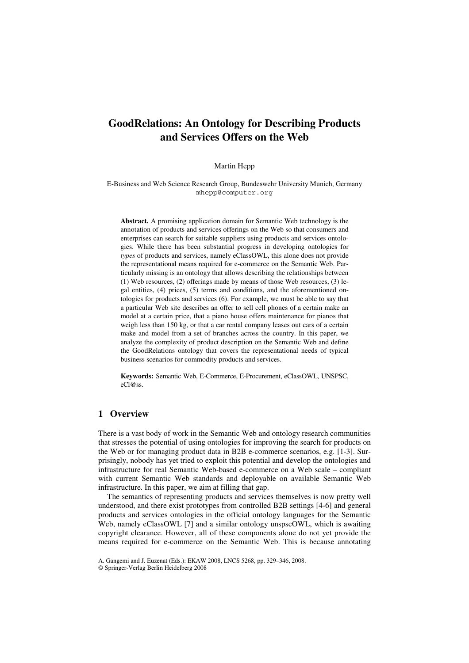# **GoodRelations: An Ontology for Describing Products and Services Offers on the Web**

Martin Hepp

E-Business and Web Science Research Group, Bundeswehr University Munich, Germany mhepp@computer.org

**Abstract.** A promising application domain for Semantic Web technology is the annotation of products and services offerings on the Web so that consumers and enterprises can search for suitable suppliers using products and services ontologies. While there has been substantial progress in developing ontologies for *types* of products and services, namely eClassOWL, this alone does not provide the representational means required for e-commerce on the Semantic Web. Particularly missing is an ontology that allows describing the relationships between (1) Web resources, (2) offerings made by means of those Web resources, (3) legal entities, (4) prices, (5) terms and conditions, and the aforementioned ontologies for products and services (6). For example, we must be able to say that a particular Web site describes an offer to sell cell phones of a certain make an model at a certain price, that a piano house offers maintenance for pianos that weigh less than 150 kg, or that a car rental company leases out cars of a certain make and model from a set of branches across the country. In this paper, we analyze the complexity of product description on the Semantic Web and define the GoodRelations ontology that covers the representational needs of typical business scenarios for commodity products and services.

**Keywords:** Semantic Web, E-Commerce, E-Procurement, eClassOWL, UNSPSC, eCl@ss.

# **1 Overview**

There is a vast body of work in the Semantic Web and ontology research communities that stresses the potential of using ontologies for improving the search for products on the Web or for managing product data in B2B e-commerce scenarios, e.g. [1-3]. Surprisingly, nobody has yet tried to exploit this potential and develop the ontologies and infrastructure for real Semantic Web-based e-commerce on a Web scale – compliant with current Semantic Web standards and deployable on available Semantic Web infrastructure. In this paper, we aim at filling that gap.

The semantics of representing products and services themselves is now pretty well understood, and there exist prototypes from controlled B2B settings [4-6] and general products and services ontologies in the official ontology languages for the Semantic Web, namely eClassOWL [7] and a similar ontology unspscOWL, which is awaiting copyright clearance. However, all of these components alone do not yet provide the means required for e-commerce on the Semantic Web. This is because annotating

A. Gangemi and J. Euzenat (Eds.): EKAW 2008, LNCS 5268, pp. 329–346, 2008.

<sup>©</sup> Springer-Verlag Berlin Heidelberg 2008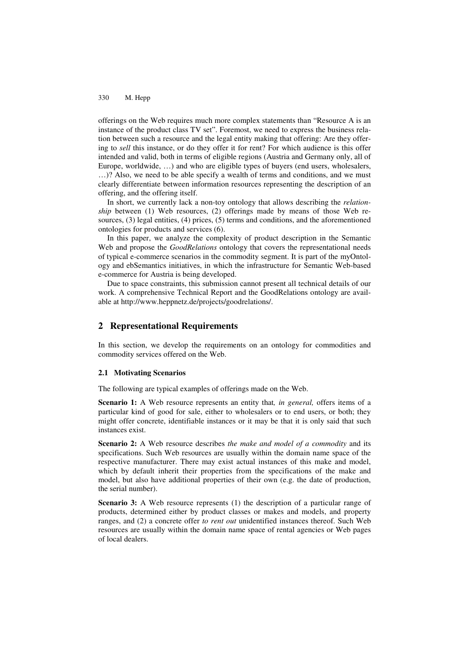offerings on the Web requires much more complex statements than "Resource A is an instance of the product class TV set". Foremost, we need to express the business relation between such a resource and the legal entity making that offering: Are they offering to *sell* this instance, or do they offer it for rent? For which audience is this offer intended and valid, both in terms of eligible regions (Austria and Germany only, all of Europe, worldwide, …) and who are eligible types of buyers (end users, wholesalers, …)? Also, we need to be able specify a wealth of terms and conditions, and we must clearly differentiate between information resources representing the description of an offering, and the offering itself.

In short, we currently lack a non-toy ontology that allows describing the *relationship* between (1) Web resources, (2) offerings made by means of those Web resources, (3) legal entities, (4) prices, (5) terms and conditions, and the aforementioned ontologies for products and services (6).

In this paper, we analyze the complexity of product description in the Semantic Web and propose the *GoodRelations* ontology that covers the representational needs of typical e-commerce scenarios in the commodity segment. It is part of the myOntology and ebSemantics initiatives, in which the infrastructure for Semantic Web-based e-commerce for Austria is being developed.

Due to space constraints, this submission cannot present all technical details of our work. A comprehensive Technical Report and the GoodRelations ontology are available at http://www.heppnetz.de/projects/goodrelations/.

### **2 Representational Requirements**

In this section, we develop the requirements on an ontology for commodities and commodity services offered on the Web.

#### **2.1 Motivating Scenarios**

The following are typical examples of offerings made on the Web.

**Scenario 1:** A Web resource represents an entity that*, in general,* offers items of a particular kind of good for sale, either to wholesalers or to end users, or both; they might offer concrete, identifiable instances or it may be that it is only said that such instances exist.

**Scenario 2:** A Web resource describes *the make and model of a commodity* and its specifications. Such Web resources are usually within the domain name space of the respective manufacturer. There may exist actual instances of this make and model, which by default inherit their properties from the specifications of the make and model, but also have additional properties of their own (e.g. the date of production, the serial number).

**Scenario 3:** A Web resource represents (1) the description of a particular range of products, determined either by product classes or makes and models, and property ranges, and (2) a concrete offer *to rent out* unidentified instances thereof. Such Web resources are usually within the domain name space of rental agencies or Web pages of local dealers.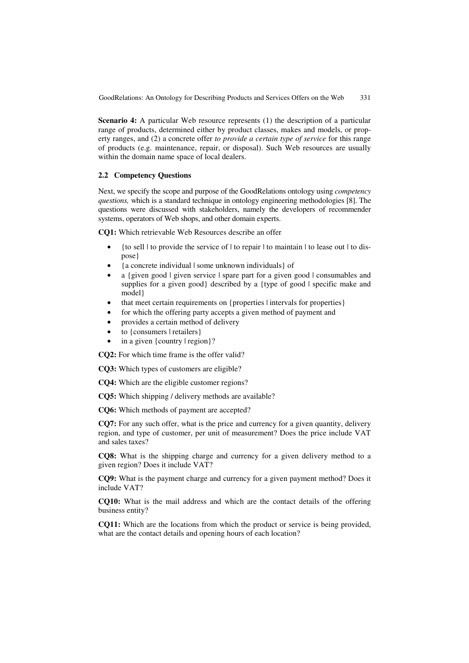GoodRelations: An Ontology for Describing Products and Services Offers on the Web 331

**Scenario 4:** A particular Web resource represents (1) the description of a particular range of products, determined either by product classes, makes and models, or property ranges, and (2) a concrete offer *to provide a certain type of service* for this range of products (e.g. maintenance, repair, or disposal). Such Web resources are usually within the domain name space of local dealers.

### **2.2 Competency Questions**

Next, we specify the scope and purpose of the GoodRelations ontology using *competency questions,* which is a standard technique in ontology engineering methodologies [8]. The questions were discussed with stakeholders, namely the developers of recommender systems, operators of Web shops, and other domain experts.

**CQ1:** Which retrievable Web Resources describe an offer

- {to sell | to provide the service of  $\vert$  to repair  $\vert$  to maintain  $\vert$  to lease out  $\vert$  to dispose}
- {a concrete individual | some unknown individuals} of
- a {given good | given service | spare part for a given good | consumables and supplies for a given good} described by a {type of good | specific make and model}
- that meet certain requirements on {properties | intervals for properties }
- for which the offering party accepts a given method of payment and
- provides a certain method of delivery
- to {consumers | retailers}
- $\bullet$  in a given {country | region}?

**CQ2:** For which time frame is the offer valid?

**CQ3:** Which types of customers are eligible?

**CQ4:** Which are the eligible customer regions?

**CQ5:** Which shipping / delivery methods are available?

**CQ6:** Which methods of payment are accepted?

**CQ7:** For any such offer, what is the price and currency for a given quantity, delivery region, and type of customer, per unit of measurement? Does the price include VAT and sales taxes?

**CQ8:** What is the shipping charge and currency for a given delivery method to a given region? Does it include VAT?

**CQ9:** What is the payment charge and currency for a given payment method? Does it include VAT?

**CQ10:** What is the mail address and which are the contact details of the offering business entity?

**CQ11:** Which are the locations from which the product or service is being provided, what are the contact details and opening hours of each location?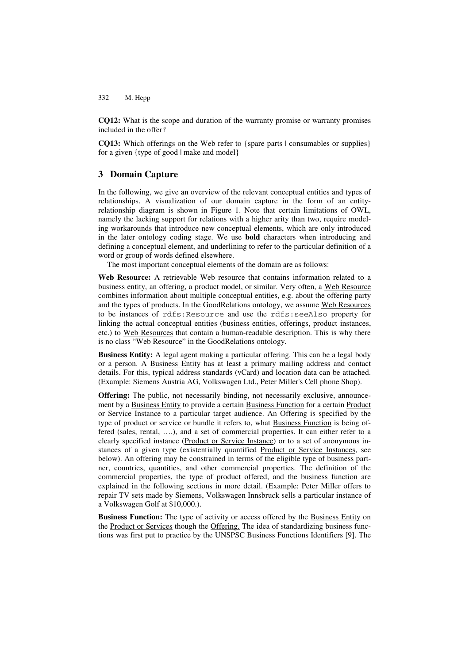**CQ12:** What is the scope and duration of the warranty promise or warranty promises included in the offer?

**CQ13:** Which offerings on the Web refer to {spare parts | consumables or supplies} for a given {type of good | make and model}

# **3 Domain Capture**

In the following, we give an overview of the relevant conceptual entities and types of relationships. A visualization of our domain capture in the form of an entityrelationship diagram is shown in Figure 1. Note that certain limitations of OWL, namely the lacking support for relations with a higher arity than two, require modeling workarounds that introduce new conceptual elements, which are only introduced in the later ontology coding stage. We use **bold** characters when introducing and defining a conceptual element, and underlining to refer to the particular definition of a word or group of words defined elsewhere.

The most important conceptual elements of the domain are as follows:

**Web Resource:** A retrievable Web resource that contains information related to a business entity, an offering, a product model, or similar. Very often, a Web Resource combines information about multiple conceptual entities, e.g. about the offering party and the types of products. In the GoodRelations ontology, we assume Web Resources to be instances of rdfs:Resource and use the rdfs:seeAlso property for linking the actual conceptual entities (business entities, offerings, product instances, etc.) to Web Resources that contain a human-readable description. This is why there is no class "Web Resource" in the GoodRelations ontology.

**Business Entity:** A legal agent making a particular offering. This can be a legal body or a person. A Business Entity has at least a primary mailing address and contact details. For this, typical address standards (vCard) and location data can be attached. (Example: Siemens Austria AG, Volkswagen Ltd., Peter Miller's Cell phone Shop).

**Offering:** The public, not necessarily binding, not necessarily exclusive, announcement by a Business Entity to provide a certain Business Function for a certain Product or Service Instance to a particular target audience. An Offering is specified by the type of product or service or bundle it refers to, what **Business Function** is being offered (sales, rental, ….), and a set of commercial properties. It can either refer to a clearly specified instance (Product or Service Instance) or to a set of anonymous instances of a given type (existentially quantified Product or Service Instances, see below). An offering may be constrained in terms of the eligible type of business partner, countries, quantities, and other commercial properties. The definition of the commercial properties, the type of product offered, and the business function are explained in the following sections in more detail. (Example: Peter Miller offers to repair TV sets made by Siemens, Volkswagen Innsbruck sells a particular instance of a Volkswagen Golf at \$10,000.).

**Business Function:** The type of activity or access offered by the Business Entity on the Product or Services though the Offering. The idea of standardizing business functions was first put to practice by the UNSPSC Business Functions Identifiers [9]. The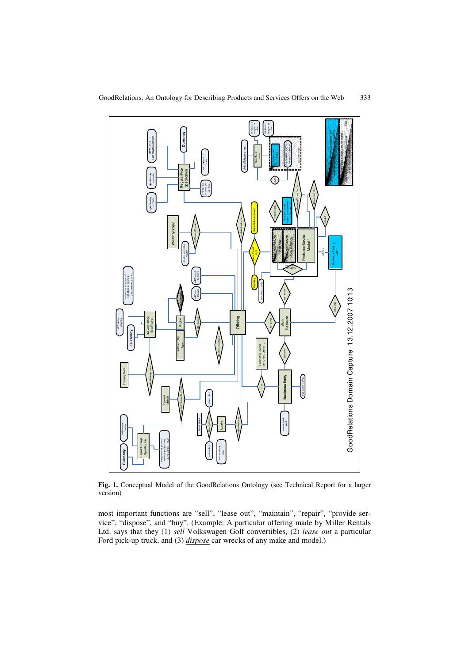

**Fig. 1.** Conceptual Model of the GoodRelations Ontology (see Technical Report for a larger version)

most important functions are "sell", "lease out", "maintain", "repair", "provide service", "dispose", and "buy". (Example: A particular offering made by Miller Rentals Ltd. says that they (1) *sell* Volkswagen Golf convertibles, (2) *lease out* a particular Ford pick-up truck, and  $\overline{(3)}$  *dispose* car wrecks of any make and model.)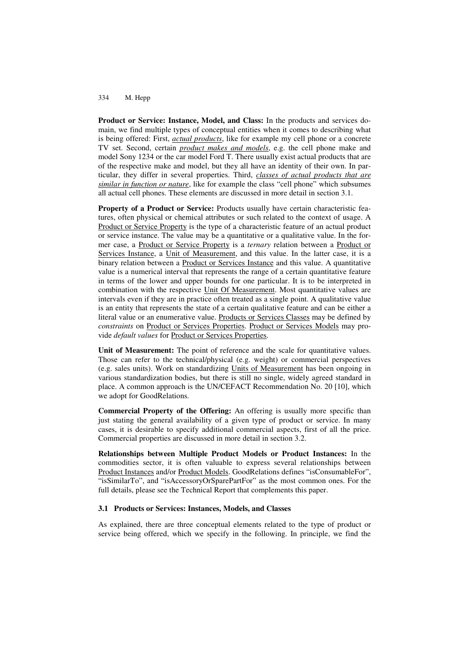**Product or Service: Instance, Model, and Class:** In the products and services domain, we find multiple types of conceptual entities when it comes to describing what is being offered: First, *actual products*, like for example my cell phone or a concrete TV set. Second, certain *product makes and models*, e.g. the cell phone make and model Sony 1234 or the car model Ford T. There usually exist actual products that are of the respective make and model, but they all have an identity of their own. In particular, they differ in several properties. Third, *classes of actual products that are similar in function or nature*, like for example the class "cell phone" which subsumes all actual cell phones. These elements are discussed in more detail in section 3.1.

**Property of a Product or Service:** Products usually have certain characteristic features, often physical or chemical attributes or such related to the context of usage. A Product or Service Property is the type of a characteristic feature of an actual product or service instance. The value may be a quantitative or a qualitative value. In the former case, a Product or Service Property is a *ternary* relation between a Product or Services Instance, a Unit of Measurement, and this value. In the latter case, it is a binary relation between a Product or Services Instance and this value. A quantitative value is a numerical interval that represents the range of a certain quantitative feature in terms of the lower and upper bounds for one particular. It is to be interpreted in combination with the respective Unit Of Measurement. Most quantitative values are intervals even if they are in practice often treated as a single point. A qualitative value is an entity that represents the state of a certain qualitative feature and can be either a literal value or an enumerative value. Products or Services Classes may be defined by *constraints* on Product or Services Properties. Product or Services Models may provide *default values* for Product or Services Properties.

**Unit of Measurement:** The point of reference and the scale for quantitative values. Those can refer to the technical/physical (e.g. weight) or commercial perspectives (e.g. sales units). Work on standardizing Units of Measurement has been ongoing in various standardization bodies, but there is still no single, widely agreed standard in place. A common approach is the UN/CEFACT Recommendation No. 20 [10], which we adopt for GoodRelations.

**Commercial Property of the Offering:** An offering is usually more specific than just stating the general availability of a given type of product or service. In many cases, it is desirable to specify additional commercial aspects, first of all the price. Commercial properties are discussed in more detail in section 3.2.

**Relationships between Multiple Product Models or Product Instances:** In the commodities sector, it is often valuable to express several relationships between Product Instances and/or Product Models. GoodRelations defines "isConsumableFor", "isSimilarTo", and "isAccessoryOrSparePartFor" as the most common ones. For the full details, please see the Technical Report that complements this paper.

#### **3.1 Products or Services: Instances, Models, and Classes**

As explained, there are three conceptual elements related to the type of product or service being offered, which we specify in the following. In principle, we find the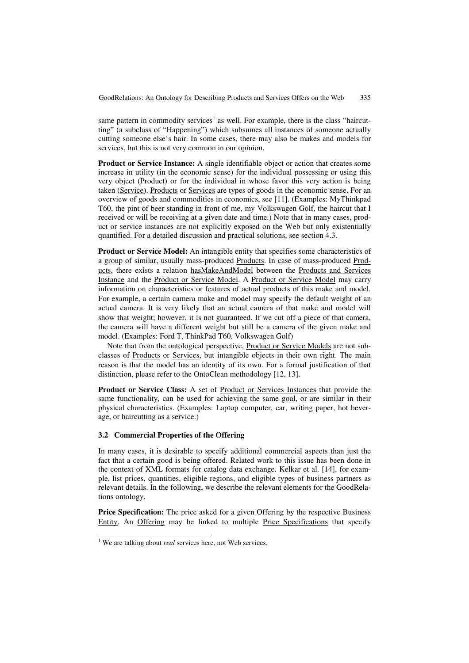same pattern in commodity services<sup>1</sup> as well. For example, there is the class "haircutting" (a subclass of "Happening") which subsumes all instances of someone actually cutting someone else's hair. In some cases, there may also be makes and models for services, but this is not very common in our opinion.

**Product or Service Instance:** A single identifiable object or action that creates some increase in utility (in the economic sense) for the individual possessing or using this very object (Product) or for the individual in whose favor this very action is being taken (Service). Products or Services are types of goods in the economic sense. For an overview of goods and commodities in economics, see [11]. (Examples: MyThinkpad T60, the pint of beer standing in front of me, my Volkswagen Golf, the haircut that I received or will be receiving at a given date and time.) Note that in many cases, product or service instances are not explicitly exposed on the Web but only existentially quantified. For a detailed discussion and practical solutions, see section 4.3.

**Product or Service Model:** An intangible entity that specifies some characteristics of a group of similar, usually mass-produced Products. In case of mass-produced Products, there exists a relation hasMakeAndModel between the Products and Services Instance and the Product or Service Model. A Product or Service Model may carry information on characteristics or features of actual products of this make and model. For example, a certain camera make and model may specify the default weight of an actual camera. It is very likely that an actual camera of that make and model will show that weight; however, it is not guaranteed. If we cut off a piece of that camera, the camera will have a different weight but still be a camera of the given make and model. (Examples: Ford T, ThinkPad T60, Volkswagen Golf)

Note that from the ontological perspective, Product or Service Models are not subclasses of Products or Services, but intangible objects in their own right. The main reason is that the model has an identity of its own. For a formal justification of that distinction, please refer to the OntoClean methodology [12, 13].

Product or Service Class: A set of Product or Services Instances that provide the same functionality, can be used for achieving the same goal, or are similar in their physical characteristics. (Examples: Laptop computer, car, writing paper, hot beverage, or haircutting as a service.)

### **3.2 Commercial Properties of the Offering**

In many cases, it is desirable to specify additional commercial aspects than just the fact that a certain good is being offered. Related work to this issue has been done in the context of XML formats for catalog data exchange. Kelkar et al. [14], for example, list prices, quantities, eligible regions, and eligible types of business partners as relevant details. In the following, we describe the relevant elements for the GoodRelations ontology.

**Price Specification:** The price asked for a given Offering by the respective Business Entity. An Offering may be linked to multiple Price Specifications that specify

<sup>&</sup>lt;sup>1</sup> We are talking about *real* services here, not Web services.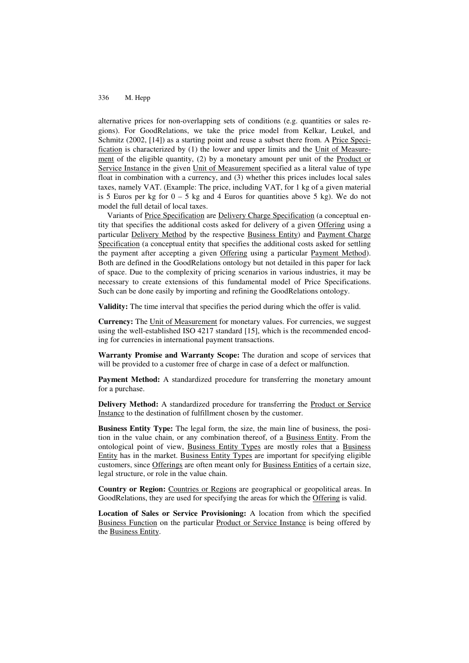alternative prices for non-overlapping sets of conditions (e.g. quantities or sales regions). For GoodRelations, we take the price model from Kelkar, Leukel, and Schmitz (2002, [14]) as a starting point and reuse a subset there from. A Price Specification is characterized by (1) the lower and upper limits and the Unit of Measurement of the eligible quantity, (2) by a monetary amount per unit of the Product or Service Instance in the given Unit of Measurement specified as a literal value of type float in combination with a currency, and (3) whether this prices includes local sales taxes, namely VAT. (Example: The price, including VAT, for 1 kg of a given material is 5 Euros per kg for  $0 - 5$  kg and 4 Euros for quantities above 5 kg). We do not model the full detail of local taxes.

Variants of Price Specification are Delivery Charge Specification (a conceptual entity that specifies the additional costs asked for delivery of a given Offering using a particular Delivery Method by the respective Business Entity) and Payment Charge Specification (a conceptual entity that specifies the additional costs asked for settling the payment after accepting a given Offering using a particular Payment Method). Both are defined in the GoodRelations ontology but not detailed in this paper for lack of space. Due to the complexity of pricing scenarios in various industries, it may be necessary to create extensions of this fundamental model of Price Specifications. Such can be done easily by importing and refining the GoodRelations ontology.

**Validity:** The time interval that specifies the period during which the offer is valid.

**Currency:** The Unit of Measurement for monetary values. For currencies, we suggest using the well-established ISO 4217 standard [15], which is the recommended encoding for currencies in international payment transactions.

**Warranty Promise and Warranty Scope:** The duration and scope of services that will be provided to a customer free of charge in case of a defect or malfunction.

**Payment Method:** A standardized procedure for transferring the monetary amount for a purchase.

**Delivery Method:** A standardized procedure for transferring the Product or Service Instance to the destination of fulfillment chosen by the customer.

**Business Entity Type:** The legal form, the size, the main line of business, the position in the value chain, or any combination thereof, of a Business Entity. From the ontological point of view, Business Entity Types are mostly roles that a Business Entity has in the market. Business Entity Types are important for specifying eligible customers, since Offerings are often meant only for Business Entities of a certain size, legal structure, or role in the value chain.

**Country or Region:** Countries or Regions are geographical or geopolitical areas. In GoodRelations, they are used for specifying the areas for which the Offering is valid.

**Location of Sales or Service Provisioning:** A location from which the specified Business Function on the particular Product or Service Instance is being offered by the Business Entity.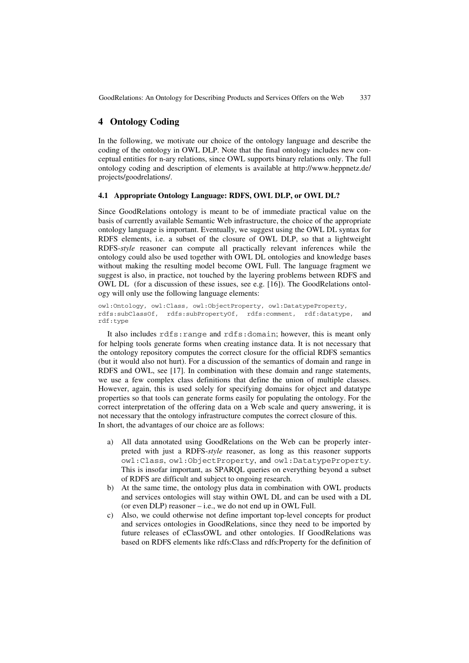# **4 Ontology Coding**

In the following, we motivate our choice of the ontology language and describe the coding of the ontology in OWL DLP. Note that the final ontology includes new conceptual entities for n-ary relations, since OWL supports binary relations only. The full ontology coding and description of elements is available at http://www.heppnetz.de/ projects/goodrelations/.

#### **4.1 Appropriate Ontology Language: RDFS, OWL DLP, or OWL DL?**

Since GoodRelations ontology is meant to be of immediate practical value on the basis of currently available Semantic Web infrastructure, the choice of the appropriate ontology language is important. Eventually, we suggest using the OWL DL syntax for RDFS elements, i.e. a subset of the closure of OWL DLP, so that a lightweight RDFS-*style* reasoner can compute all practically relevant inferences while the ontology could also be used together with OWL DL ontologies and knowledge bases without making the resulting model become OWL Full. The language fragment we suggest is also, in practice, not touched by the layering problems between RDFS and OWL DL (for a discussion of these issues, see e.g. [16]). The GoodRelations ontology will only use the following language elements:

owl:Ontology, owl:Class, owl:ObjectProperty, owl:DatatypeProperty, rdfs:subClassOf, rdfs:subPropertyOf, rdfs:comment, rdf:datatype, and rdf:type

It also includes rdfs:range and rdfs:domain; however, this is meant only for helping tools generate forms when creating instance data. It is not necessary that the ontology repository computes the correct closure for the official RDFS semantics (but it would also not hurt). For a discussion of the semantics of domain and range in RDFS and OWL, see [17]. In combination with these domain and range statements, we use a few complex class definitions that define the union of multiple classes. However, again, this is used solely for specifying domains for object and datatype properties so that tools can generate forms easily for populating the ontology. For the correct interpretation of the offering data on a Web scale and query answering, it is not necessary that the ontology infrastructure computes the correct closure of this. In short, the advantages of our choice are as follows:

- a) All data annotated using GoodRelations on the Web can be properly interpreted with just a RDFS-*style* reasoner, as long as this reasoner supports owl:Class, owl:ObjectProperty, and owl:DatatypeProperty. This is insofar important, as SPARQL queries on everything beyond a subset of RDFS are difficult and subject to ongoing research.
- b) At the same time, the ontology plus data in combination with OWL products and services ontologies will stay within OWL DL and can be used with a DL (or even  $DLP$ ) reasoner – i.e., we do not end up in OWL Full.
- c) Also, we could otherwise not define important top-level concepts for product and services ontologies in GoodRelations, since they need to be imported by future releases of eClassOWL and other ontologies. If GoodRelations was based on RDFS elements like rdfs:Class and rdfs:Property for the definition of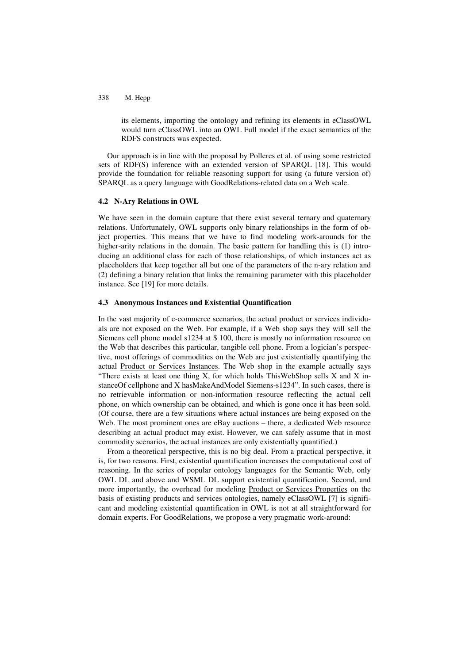its elements, importing the ontology and refining its elements in eClassOWL would turn eClassOWL into an OWL Full model if the exact semantics of the RDFS constructs was expected.

Our approach is in line with the proposal by Polleres et al. of using some restricted sets of RDF(S) inference with an extended version of SPARQL [18]. This would provide the foundation for reliable reasoning support for using (a future version of) SPARQL as a query language with GoodRelations-related data on a Web scale.

#### **4.2 N-Ary Relations in OWL**

We have seen in the domain capture that there exist several ternary and quaternary relations. Unfortunately, OWL supports only binary relationships in the form of object properties. This means that we have to find modeling work-arounds for the higher-arity relations in the domain. The basic pattern for handling this is (1) introducing an additional class for each of those relationships, of which instances act as placeholders that keep together all but one of the parameters of the n-ary relation and (2) defining a binary relation that links the remaining parameter with this placeholder instance. See [19] for more details.

#### **4.3 Anonymous Instances and Existential Quantification**

In the vast majority of e-commerce scenarios, the actual product or services individuals are not exposed on the Web. For example, if a Web shop says they will sell the Siemens cell phone model s1234 at \$ 100, there is mostly no information resource on the Web that describes this particular, tangible cell phone. From a logician's perspective, most offerings of commodities on the Web are just existentially quantifying the actual Product or Services Instances. The Web shop in the example actually says "There exists at least one thing X, for which holds ThisWebShop sells X and X instanceOf cellphone and X hasMakeAndModel Siemens-s1234". In such cases, there is no retrievable information or non-information resource reflecting the actual cell phone, on which ownership can be obtained, and which is gone once it has been sold. (Of course, there are a few situations where actual instances are being exposed on the Web. The most prominent ones are eBay auctions – there, a dedicated Web resource describing an actual product may exist. However, we can safely assume that in most commodity scenarios, the actual instances are only existentially quantified.)

From a theoretical perspective, this is no big deal. From a practical perspective, it is, for two reasons. First, existential quantification increases the computational cost of reasoning. In the series of popular ontology languages for the Semantic Web, only OWL DL and above and WSML DL support existential quantification. Second, and more importantly, the overhead for modeling Product or Services Properties on the basis of existing products and services ontologies, namely eClassOWL [7] is significant and modeling existential quantification in OWL is not at all straightforward for domain experts. For GoodRelations, we propose a very pragmatic work-around: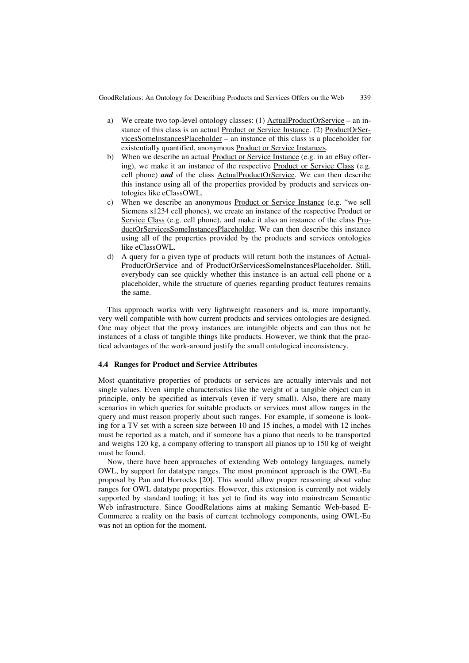- a) We create two top-level ontology classes: (1) ActualProductOrService an instance of this class is an actual Product or Service Instance. (2) ProductOrServicesSomeInstancesPlaceholder – an instance of this class is a placeholder for existentially quantified, anonymous Product or Service Instances.
- b) When we describe an actual Product or Service Instance (e.g. in an eBay offering), we make it an instance of the respective Product or Service Class (e.g. cell phone) *and* of the class ActualProductOrService. We can then describe this instance using all of the properties provided by products and services ontologies like eClassOWL.
- c) When we describe an anonymous Product or Service Instance (e.g. "we sell Siemens s1234 cell phones), we create an instance of the respective Product or Service Class (e.g. cell phone), and make it also an instance of the class ProductOrServicesSomeInstancesPlaceholder. We can then describe this instance using all of the properties provided by the products and services ontologies like eClassOWL.
- d) A query for a given type of products will return both the instances of Actual-ProductOrService and of ProductOrServicesSomeInstancesPlaceholder. Still, everybody can see quickly whether this instance is an actual cell phone or a placeholder, while the structure of queries regarding product features remains the same.

This approach works with very lightweight reasoners and is, more importantly, very well compatible with how current products and services ontologies are designed. One may object that the proxy instances are intangible objects and can thus not be instances of a class of tangible things like products. However, we think that the practical advantages of the work-around justify the small ontological inconsistency.

#### **4.4 Ranges for Product and Service Attributes**

Most quantitative properties of products or services are actually intervals and not single values. Even simple characteristics like the weight of a tangible object can in principle, only be specified as intervals (even if very small). Also, there are many scenarios in which queries for suitable products or services must allow ranges in the query and must reason properly about such ranges. For example, if someone is looking for a TV set with a screen size between 10 and 15 inches, a model with 12 inches must be reported as a match, and if someone has a piano that needs to be transported and weighs 120 kg, a company offering to transport all pianos up to 150 kg of weight must be found.

Now, there have been approaches of extending Web ontology languages, namely OWL, by support for datatype ranges. The most prominent approach is the OWL-Eu proposal by Pan and Horrocks [20]. This would allow proper reasoning about value ranges for OWL datatype properties. However, this extension is currently not widely supported by standard tooling; it has yet to find its way into mainstream Semantic Web infrastructure. Since GoodRelations aims at making Semantic Web-based E-Commerce a reality on the basis of current technology components, using OWL-Eu was not an option for the moment.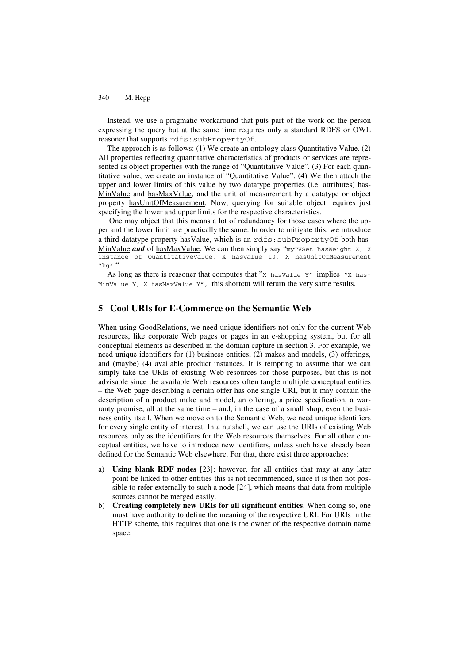Instead, we use a pragmatic workaround that puts part of the work on the person expressing the query but at the same time requires only a standard RDFS or OWL reasoner that supports rdfs:subPropertyOf.

The approach is as follows: (1) We create an ontology class Quantitative Value. (2) All properties reflecting quantitative characteristics of products or services are represented as object properties with the range of "Quantitative Value". (3) For each quantitative value, we create an instance of "Quantitative Value". (4) We then attach the upper and lower limits of this value by two datatype properties (i.e. attributes) has-MinValue and hasMaxValue, and the unit of measurement by a datatype or object property has Unit Of Measurement. Now, querying for suitable object requires just specifying the lower and upper limits for the respective characteristics.

 One may object that this means a lot of redundancy for those cases where the upper and the lower limit are practically the same. In order to mitigate this, we introduce a third datatype property has Value, which is an rdfs: subPropertyOf both has-MinValue *and* of hasMaxValue. We can then simply say "myTVSet hasWeight X, X of QuantitativeValue, X hasValue 10, X hasUnitOfMeasurement " ka" "

As long as there is reasoner that computes that "x hasValue Y" implies "x has-MinValue Y, X hasMaxValue Y", this shortcut will return the very same results.

# **5 Cool URIs for E-Commerce on the Semantic Web**

When using GoodRelations, we need unique identifiers not only for the current Web resources, like corporate Web pages or pages in an e-shopping system, but for all conceptual elements as described in the domain capture in section 3. For example, we need unique identifiers for (1) business entities, (2) makes and models, (3) offerings, and (maybe) (4) available product instances. It is tempting to assume that we can simply take the URIs of existing Web resources for those purposes, but this is not advisable since the available Web resources often tangle multiple conceptual entities – the Web page describing a certain offer has one single URI, but it may contain the description of a product make and model, an offering, a price specification, a warranty promise, all at the same time – and, in the case of a small shop, even the business entity itself. When we move on to the Semantic Web, we need unique identifiers for every single entity of interest. In a nutshell, we can use the URIs of existing Web resources only as the identifiers for the Web resources themselves. For all other conceptual entities, we have to introduce new identifiers, unless such have already been defined for the Semantic Web elsewhere. For that, there exist three approaches:

- a) **Using blank RDF nodes** [23]; however, for all entities that may at any later point be linked to other entities this is not recommended, since it is then not possible to refer externally to such a node [24], which means that data from multiple sources cannot be merged easily.
- b) **Creating completely new URIs for all significant entities**. When doing so, one must have authority to define the meaning of the respective URI. For URIs in the HTTP scheme, this requires that one is the owner of the respective domain name space.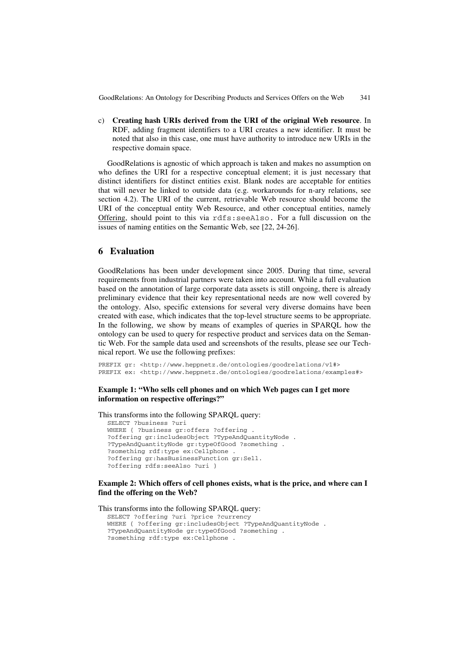GoodRelations: An Ontology for Describing Products and Services Offers on the Web 341

c) **Creating hash URIs derived from the URI of the original Web resource**. In RDF, adding fragment identifiers to a URI creates a new identifier. It must be noted that also in this case, one must have authority to introduce new URIs in the respective domain space.

GoodRelations is agnostic of which approach is taken and makes no assumption on who defines the URI for a respective conceptual element; it is just necessary that distinct identifiers for distinct entities exist. Blank nodes are acceptable for entities that will never be linked to outside data (e.g. workarounds for n-ary relations, see section 4.2). The URI of the current, retrievable Web resource should become the URI of the conceptual entity Web Resource, and other conceptual entities, namely Offering, should point to this via rdfs:seeAlso. For a full discussion on the issues of naming entities on the Semantic Web, see [22, 24-26].

### **6 Evaluation**

GoodRelations has been under development since 2005. During that time, several requirements from industrial partners were taken into account. While a full evaluation based on the annotation of large corporate data assets is still ongoing, there is already preliminary evidence that their key representational needs are now well covered by the ontology. Also, specific extensions for several very diverse domains have been created with ease, which indicates that the top-level structure seems to be appropriate. In the following, we show by means of examples of queries in SPARQL how the ontology can be used to query for respective product and services data on the Semantic Web. For the sample data used and screenshots of the results, please see our Technical report. We use the following prefixes:

PREFIX gr: <http://www.heppnetz.de/ontologies/goodrelations/v1#> PREFIX ex: <http://www.heppnetz.de/ontologies/goodrelations/examples#>

#### **Example 1: "Who sells cell phones and on which Web pages can I get more information on respective offerings?"**

This transforms into the following SPARQL query:

SELECT ?business ?uri WHERE { ?business gr:offers ?offering ?offering gr:includesObject ?TypeAndQuantityNode . ?TypeAndQuantityNode gr:typeOfGood ?something . ?something rdf:type ex:Cellphone . ?offering gr:hasBusinessFunction gr:Sell. ?offering rdfs:seeAlso ?uri }

#### **Example 2: Which offers of cell phones exists, what is the price, and where can I find the offering on the Web?**

```
This transforms into the following SPARQL query: 
  SELECT ?offering ?uri ?price ?currency 
  WHERE { ?offering gr:includesObject ?TypeAndQuantityNode . 
  ?TypeAndQuantityNode gr:typeOfGood ?something . 
  ?something rdf:type ex:Cellphone .
```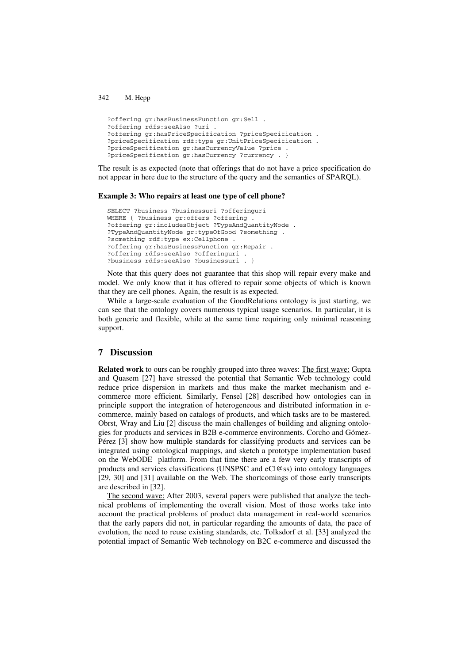```
?offering gr:hasBusinessFunction gr:Sell . 
?offering rdfs:seeAlso ?uri . 
?offering gr:hasPriceSpecification ?priceSpecification . 
?priceSpecification rdf:type gr:UnitPriceSpecification . 
?priceSpecification gr:hasCurrencyValue ?price . 
?priceSpecification gr:hasCurrency ?currency . }
```
The result is as expected (note that offerings that do not have a price specification do not appear in here due to the structure of the query and the semantics of SPARQL).

#### **Example 3: Who repairs at least one type of cell phone?**

```
SELECT ?business ?businessuri ?offeringuri 
WHERE { ?business gr:offers ?offering .
?offering gr:includesObject ?TypeAndQuantityNode . 
?TypeAndQuantityNode gr:typeOfGood ?something . 
?something rdf:type ex:Cellphone . 
?offering gr:hasBusinessFunction gr:Repair . 
?offering rdfs:seeAlso ?offeringuri . 
?business rdfs:seeAlso ?businessuri . }
```
Note that this query does not guarantee that this shop will repair every make and model. We only know that it has offered to repair some objects of which is known that they are cell phones. Again, the result is as expected.

While a large-scale evaluation of the GoodRelations ontology is just starting, we can see that the ontology covers numerous typical usage scenarios. In particular, it is both generic and flexible, while at the same time requiring only minimal reasoning support.

# **7 Discussion**

**Related work** to ours can be roughly grouped into three waves: The first wave: Gupta and Quasem [27] have stressed the potential that Semantic Web technology could reduce price dispersion in markets and thus make the market mechanism and ecommerce more efficient. Similarly, Fensel [28] described how ontologies can in principle support the integration of heterogeneous and distributed information in ecommerce, mainly based on catalogs of products, and which tasks are to be mastered. Obrst, Wray and Liu [2] discuss the main challenges of building and aligning ontologies for products and services in B2B e-commerce environments. Corcho and Gómez-Pérez [3] show how multiple standards for classifying products and services can be integrated using ontological mappings, and sketch a prototype implementation based on the WebODE platform. From that time there are a few very early transcripts of products and services classifications (UNSPSC and eCl@ss) into ontology languages [29, 30] and [31] available on the Web. The shortcomings of those early transcripts are described in [32].

The second wave: After 2003, several papers were published that analyze the technical problems of implementing the overall vision. Most of those works take into account the practical problems of product data management in real-world scenarios that the early papers did not, in particular regarding the amounts of data, the pace of evolution, the need to reuse existing standards, etc. Tolksdorf et al. [33] analyzed the potential impact of Semantic Web technology on B2C e-commerce and discussed the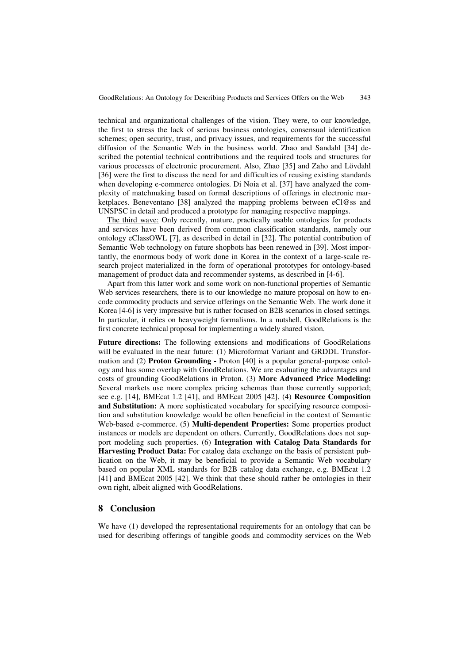technical and organizational challenges of the vision. They were, to our knowledge, the first to stress the lack of serious business ontologies, consensual identification schemes; open security, trust, and privacy issues, and requirements for the successful diffusion of the Semantic Web in the business world. Zhao and Sandahl [34] described the potential technical contributions and the required tools and structures for various processes of electronic procurement. Also, Zhao [35] and Zaho and Lövdahl [36] were the first to discuss the need for and difficulties of reusing existing standards when developing e-commerce ontologies. Di Noia et al. [37] have analyzed the complexity of matchmaking based on formal descriptions of offerings in electronic marketplaces. Beneventano [38] analyzed the mapping problems between eCl@ss and UNSPSC in detail and produced a prototype for managing respective mappings.

The third wave: Only recently, mature, practically usable ontologies for products and services have been derived from common classification standards, namely our ontology eClassOWL [7], as described in detail in [32]. The potential contribution of Semantic Web technology on future shopbots has been renewed in [39]. Most importantly, the enormous body of work done in Korea in the context of a large-scale research project materialized in the form of operational prototypes for ontology-based management of product data and recommender systems, as described in [4-6].

Apart from this latter work and some work on non-functional properties of Semantic Web services researchers, there is to our knowledge no mature proposal on how to encode commodity products and service offerings on the Semantic Web. The work done it Korea [4-6] is very impressive but is rather focused on B2B scenarios in closed settings. In particular, it relies on heavyweight formalisms. In a nutshell, GoodRelations is the first concrete technical proposal for implementing a widely shared vision.

**Future directions:** The following extensions and modifications of GoodRelations will be evaluated in the near future: (1) Microformat Variant and GRDDL Transformation and (2) **Proton Grounding -** Proton [40] is a popular general-purpose ontology and has some overlap with GoodRelations. We are evaluating the advantages and costs of grounding GoodRelations in Proton. (3) **More Advanced Price Modeling:** Several markets use more complex pricing schemas than those currently supported; see e.g. [14], BMEcat 1.2 [41], and BMEcat 2005 [42]. (4) **Resource Composition and Substitution:** A more sophisticated vocabulary for specifying resource composition and substitution knowledge would be often beneficial in the context of Semantic Web-based e-commerce. (5) **Multi-dependent Properties:** Some properties product instances or models are dependent on others. Currently, GoodRelations does not support modeling such properties. (6) **Integration with Catalog Data Standards for Harvesting Product Data:** For catalog data exchange on the basis of persistent publication on the Web, it may be beneficial to provide a Semantic Web vocabulary based on popular XML standards for B2B catalog data exchange, e.g. BMEcat 1.2 [41] and BMEcat 2005 [42]. We think that these should rather be ontologies in their own right, albeit aligned with GoodRelations.

#### **8 Conclusion**

We have (1) developed the representational requirements for an ontology that can be used for describing offerings of tangible goods and commodity services on the Web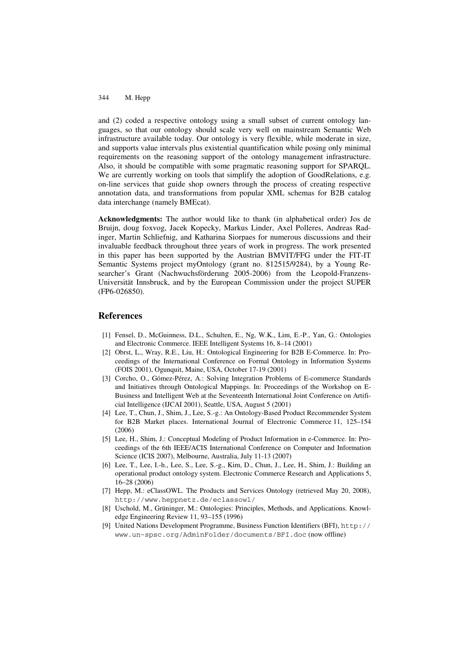and (2) coded a respective ontology using a small subset of current ontology languages, so that our ontology should scale very well on mainstream Semantic Web infrastructure available today. Our ontology is very flexible, while moderate in size, and supports value intervals plus existential quantification while posing only minimal requirements on the reasoning support of the ontology management infrastructure. Also, it should be compatible with some pragmatic reasoning support for SPARQL. We are currently working on tools that simplify the adoption of GoodRelations, e.g. on-line services that guide shop owners through the process of creating respective annotation data, and transformations from popular XML schemas for B2B catalog data interchange (namely BMEcat).

**Acknowledgments:** The author would like to thank (in alphabetical order) Jos de Bruijn, doug foxvog, Jacek Kopecky, Markus Linder, Axel Polleres, Andreas Radinger, Martin Schliefnig, and Katharina Siorpaes for numerous discussions and their invaluable feedback throughout three years of work in progress. The work presented in this paper has been supported by the Austrian BMVIT/FFG under the FIT-IT Semantic Systems project myOntology (grant no. 812515/9284), by a Young Researcher's Grant (Nachwuchsförderung 2005-2006) from the Leopold-Franzens-Universität Innsbruck, and by the European Commission under the project SUPER (FP6-026850).

### **References**

- [1] Fensel, D., McGuinness, D.L., Schulten, E., Ng, W.K., Lim, E.-P., Yan, G.: Ontologies and Electronic Commerce. IEEE Intelligent Systems 16, 8–14 (2001)
- [2] Obrst, L., Wray, R.E., Liu, H.: Ontological Engineering for B2B E-Commerce. In: Proceedings of the International Conference on Formal Ontology in Information Systems (FOIS 2001), Ogunquit, Maine, USA, October 17-19 (2001)
- [3] Corcho, O., Gómez-Pérez, A.: Solving Integration Problems of E-commerce Standards and Initiatives through Ontological Mappings. In: Proceedings of the Workshop on E-Business and Intelligent Web at the Seventeenth International Joint Conference on Artificial Intelligence (IJCAI 2001), Seattle, USA, August 5 (2001)
- [4] Lee, T., Chun, J., Shim, J., Lee, S.-g.: An Ontology-Based Product Recommender System for B2B Market places. International Journal of Electronic Commerce 11, 125–154 (2006)
- [5] Lee, H., Shim, J.: Conceptual Modeling of Product Information in e-Commerce. In: Proceedings of the 6th IEEE/ACIS International Conference on Computer and Information Science (ICIS 2007), Melbourne, Australia, July 11-13 (2007)
- [6] Lee, T., Lee, I.-h., Lee, S., Lee, S.-g., Kim, D., Chun, J., Lee, H., Shim, J.: Building an operational product ontology system. Electronic Commerce Research and Applications 5, 16–28 (2006)
- [7] Hepp, M.: eClassOWL. The Products and Services Ontology (retrieved May 20, 2008), http://www.heppnetz.de/eclassowl/
- [8] Uschold, M., Grüninger, M.: Ontologies: Principles, Methods, and Applications. Knowledge Engineering Review 11, 93–155 (1996)
- [9] United Nations Development Programme, Business Function Identifiers (BFI), http:// www.un-spsc.org/AdminFolder/documents/BFI.doc (now offline)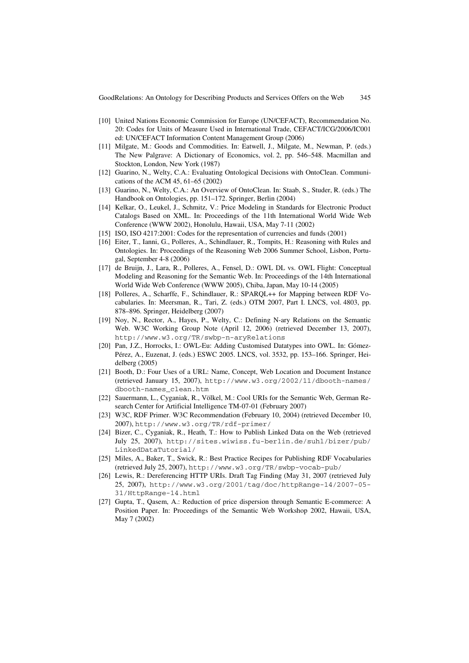- [10] United Nations Economic Commission for Europe (UN/CEFACT), Recommendation No. 20: Codes for Units of Measure Used in International Trade, CEFACT/ICG/2006/IC001 ed: UN/CEFACT Information Content Management Group (2006)
- [11] Milgate, M.: Goods and Commodities. In: Eatwell, J., Milgate, M., Newman, P. (eds.) The New Palgrave: A Dictionary of Economics, vol. 2, pp. 546–548. Macmillan and Stockton, London, New York (1987)
- [12] Guarino, N., Welty, C.A.: Evaluating Ontological Decisions with OntoClean. Communications of the ACM 45, 61–65 (2002)
- [13] Guarino, N., Welty, C.A.: An Overview of OntoClean. In: Staab, S., Studer, R. (eds.) The Handbook on Ontologies, pp. 151–172. Springer, Berlin (2004)
- [14] Kelkar, O., Leukel, J., Schmitz, V.: Price Modeling in Standards for Electronic Product Catalogs Based on XML. In: Proceedings of the 11th International World Wide Web Conference (WWW 2002), Honolulu, Hawaii, USA, May 7-11 (2002)
- [15] ISO, ISO 4217:2001: Codes for the representation of currencies and funds (2001)
- [16] Eiter, T., Ianni, G., Polleres, A., Schindlauer, R., Tompits, H.: Reasoning with Rules and Ontologies. In: Proceedings of the Reasoning Web 2006 Summer School, Lisbon, Portugal, September 4-8 (2006)
- [17] de Bruijn, J., Lara, R., Polleres, A., Fensel, D.: OWL DL vs. OWL Flight: Conceptual Modeling and Reasoning for the Semantic Web. In: Proceedings of the 14th International World Wide Web Conference (WWW 2005), Chiba, Japan, May 10-14 (2005)
- [18] Polleres, A., Scharffe, F., Schindlauer, R.: SPARQL++ for Mapping between RDF Vocabularies. In: Meersman, R., Tari, Z. (eds.) OTM 2007, Part I. LNCS, vol. 4803, pp. 878–896. Springer, Heidelberg (2007)
- [19] Noy, N., Rector, A., Hayes, P., Welty, C.: Defining N-ary Relations on the Semantic Web. W3C Working Group Note (April 12, 2006) (retrieved December 13, 2007), http://www.w3.org/TR/swbp-n-aryRelations
- [20] Pan, J.Z., Horrocks, I.: OWL-Eu: Adding Customised Datatypes into OWL. In: Gómez-Pérez, A., Euzenat, J. (eds.) ESWC 2005. LNCS, vol. 3532, pp. 153–166. Springer, Heidelberg (2005)
- [21] Booth, D.: Four Uses of a URL: Name, Concept, Web Location and Document Instance (retrieved January 15, 2007), http://www.w3.org/2002/11/dbooth-names/ dbooth-names\_clean.htm
- [22] Sauermann, L., Cyganiak, R., Völkel, M.: Cool URIs for the Semantic Web, German Research Center for Artificial Intelligence TM-07-01 (February 2007)
- [23] W3C, RDF Primer. W3C Recommendation (February 10, 2004) (retrieved December 10, 2007), http://www.w3.org/TR/rdf-primer/
- [24] Bizer, C., Cyganiak, R., Heath, T.: How to Publish Linked Data on the Web (retrieved July 25, 2007), http://sites.wiwiss.fu-berlin.de/suhl/bizer/pub/ LinkedDataTutorial/
- [25] Miles, A., Baker, T., Swick, R.: Best Practice Recipes for Publishing RDF Vocabularies (retrieved July 25, 2007), http://www.w3.org/TR/swbp-vocab-pub/
- [26] Lewis, R.: Dereferencing HTTP URIs. Draft Tag Finding (May 31, 2007 (retrieved July 25, 2007), http://www.w3.org/2001/tag/doc/httpRange-14/2007-05- 31/HttpRange-14.html
- [27] Gupta, T., Qasem, A.: Reduction of price dispersion through Semantic E-commerce: A Position Paper. In: Proceedings of the Semantic Web Workshop 2002, Hawaii, USA, May 7 (2002)